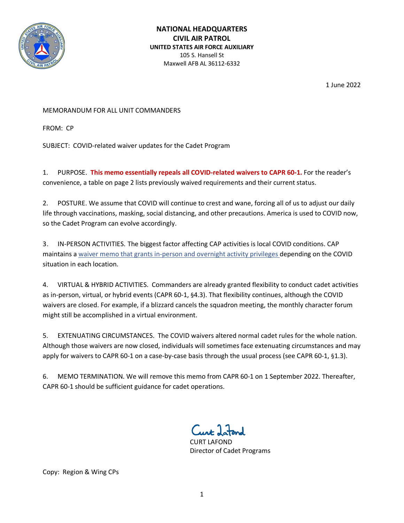

1 June 2022

## MEMORANDUM FOR ALL UNIT COMMANDERS

FROM: CP

SUBJECT: COVID-related waiver updates for the Cadet Program

1. PURPOSE. **This memo essentially repeals all COVID-related waivers to CAPR 60-1.** For the reader's convenience, a table on page 2 lists previously waived requirements and their current status.

2. POSTURE. We assume that COVID will continue to crest and wane, forcing all of us to adjust our daily life through vaccinations, masking, social distancing, and other precautions. America is used to COVID now, so the Cadet Program can evolve accordingly.

3. IN-PERSON ACTIVITIES. The biggest factor affecting CAP activities is local COVID conditions. CAP maintains a [waiver memo that grants in-person and overnight activity privileges](https://www.gocivilairpatrol.com/covid-19-information-cena) depending on the COVID situation in each location.

4. VIRTUAL & HYBRID ACTIVITIES. Commanders are already granted flexibility to conduct cadet activities as in-person, virtual, or hybrid events (CAPR 60-1, §4.3). That flexibility continues, although the COVID waivers are closed. For example, if a blizzard cancels the squadron meeting, the monthly character forum might still be accomplished in a virtual environment.

5. EXTENUATING CIRCUMSTANCES. The COVID waivers altered normal cadet rules for the whole nation. Although those waivers are now closed, individuals will sometimes face extenuating circumstances and may apply for waivers to CAPR 60-1 on a case-by-case basis through the usual process (see CAPR 60-1, §1.3).

6. MEMO TERMINATION. We will remove this memo from CAPR 60-1 on 1 September 2022. Thereafter, CAPR 60-1 should be sufficient guidance for cadet operations.

 $C_{\cdots}$  11

 CURT LAFOND Director of Cadet Programs

Copy: Region & Wing CPs